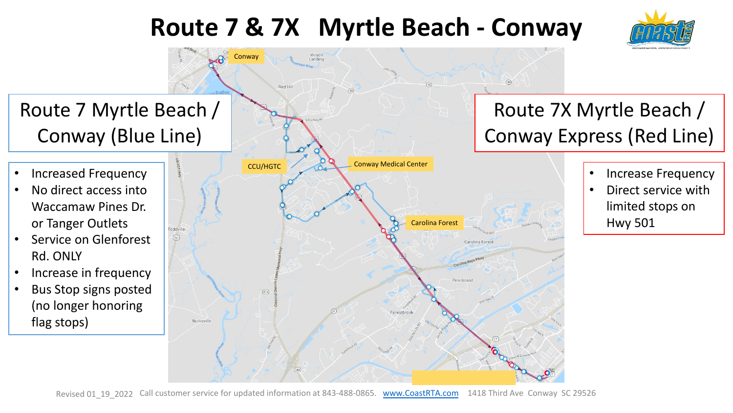## **Route 7 & 7X Myrtle Beach - Conway**



## **Conway**  $\circ$ Route 7X Myrtle Beach / Route 7 Myrtle Beach / Conway (Blue Line) Conway Express (Red Line) Conway Medical Center CCU/HGTC • Increased Frequency • Increase Frequency • No direct access into • Direct service with Waccamaw Pines Dr. limited stops on Hwy 501or Tanger Outlets Carolina Forest **Toddville** • Service on Glenforest  $\widehat{[701]}$ Carolina Forest Rd. ONLY • Increase in frequency Pine Island • Bus Stop signs posted  $(814)$ (no longer honoring Forestbrook flag stops) Bucksville

Revised 01\_19\_2022 Call customer service for updated information at 843-488-0865. [www.CoastRTA.com](http://www.coastrta.com/) 1418 Third Ave Conway SC 29526